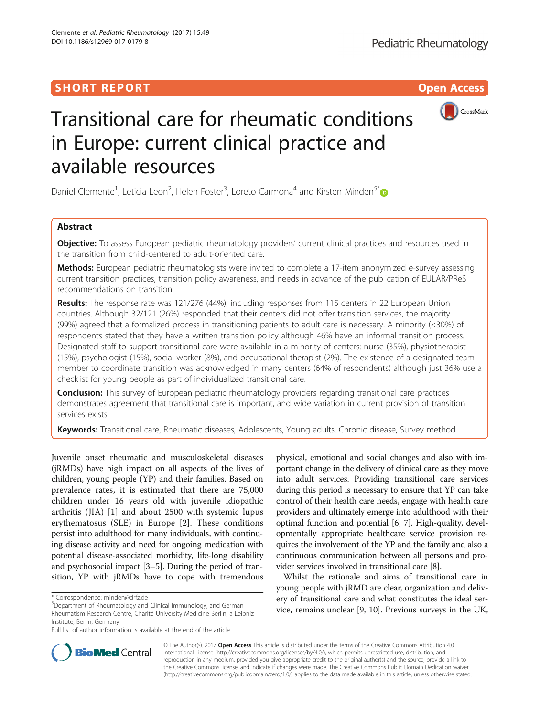# SHORT REPORT **The Contract of Contract Contract Contract Contract Contract Contract Contract Contract Contract Contract Contract Contract Contract Contract Contract Contract Contract Contract Contract Contract Contract Con**



# Transitional care for rheumatic conditions in Europe: current clinical practice and available resources

Daniel Clemente<sup>1</sup>, Leticia Leon<sup>2</sup>, Helen Foster<sup>3</sup>, Loreto Carmona<sup>4</sup> and Kirsten Minden<sup>5[\\*](http://orcid.org/0000-0003-2775-0111)</sup>

# Abstract

Objective: To assess European pediatric rheumatology providers' current clinical practices and resources used in the transition from child-centered to adult-oriented care.

Methods: European pediatric rheumatologists were invited to complete a 17-item anonymized e-survey assessing current transition practices, transition policy awareness, and needs in advance of the publication of EULAR/PReS recommendations on transition.

Results: The response rate was 121/276 (44%), including responses from 115 centers in 22 European Union countries. Although 32/121 (26%) responded that their centers did not offer transition services, the majority (99%) agreed that a formalized process in transitioning patients to adult care is necessary. A minority (<30%) of respondents stated that they have a written transition policy although 46% have an informal transition process. Designated staff to support transitional care were available in a minority of centers: nurse (35%), physiotherapist (15%), psychologist (15%), social worker (8%), and occupational therapist (2%). The existence of a designated team member to coordinate transition was acknowledged in many centers (64% of respondents) although just 36% use a checklist for young people as part of individualized transitional care.

**Conclusion:** This survey of European pediatric rheumatology providers regarding transitional care practices demonstrates agreement that transitional care is important, and wide variation in current provision of transition services exists.

Keywords: Transitional care, Rheumatic diseases, Adolescents, Young adults, Chronic disease, Survey method

Juvenile onset rheumatic and musculoskeletal diseases (jRMDs) have high impact on all aspects of the lives of children, young people (YP) and their families. Based on prevalence rates, it is estimated that there are 75,000 children under 16 years old with juvenile idiopathic arthritis (JIA) [[1](#page-4-0)] and about 2500 with systemic lupus erythematosus (SLE) in Europe [\[2](#page-4-0)]. These conditions persist into adulthood for many individuals, with continuing disease activity and need for ongoing medication with potential disease-associated morbidity, life-long disability and psychosocial impact [[3](#page-4-0)–[5](#page-4-0)]. During the period of transition, YP with jRMDs have to cope with tremendous

physical, emotional and social changes and also with important change in the delivery of clinical care as they move into adult services. Providing transitional care services during this period is necessary to ensure that YP can take control of their health care needs, engage with health care providers and ultimately emerge into adulthood with their optimal function and potential [\[6](#page-4-0), [7](#page-4-0)]. High-quality, developmentally appropriate healthcare service provision requires the involvement of the YP and the family and also a continuous communication between all persons and provider services involved in transitional care [\[8](#page-4-0)].

Whilst the rationale and aims of transitional care in young people with jRMD are clear, organization and delivery of transitional care and what constitutes the ideal service, remains unclear [[9](#page-5-0), [10\]](#page-5-0). Previous surveys in the UK,



© The Author(s). 2017 **Open Access** This article is distributed under the terms of the Creative Commons Attribution 4.0 International License [\(http://creativecommons.org/licenses/by/4.0/](http://creativecommons.org/licenses/by/4.0/)), which permits unrestricted use, distribution, and reproduction in any medium, provided you give appropriate credit to the original author(s) and the source, provide a link to the Creative Commons license, and indicate if changes were made. The Creative Commons Public Domain Dedication waiver [\(http://creativecommons.org/publicdomain/zero/1.0/](http://creativecommons.org/publicdomain/zero/1.0/)) applies to the data made available in this article, unless otherwise stated.

<sup>\*</sup> Correspondence: [minden@drfz.de](mailto:minden@drfz.de) <sup>5</sup>

Department of Rheumatology and Clinical Immunology, and German Rheumatism Research Centre, Charité University Medicine Berlin, a Leibniz Institute, Berlin, Germany

Full list of author information is available at the end of the article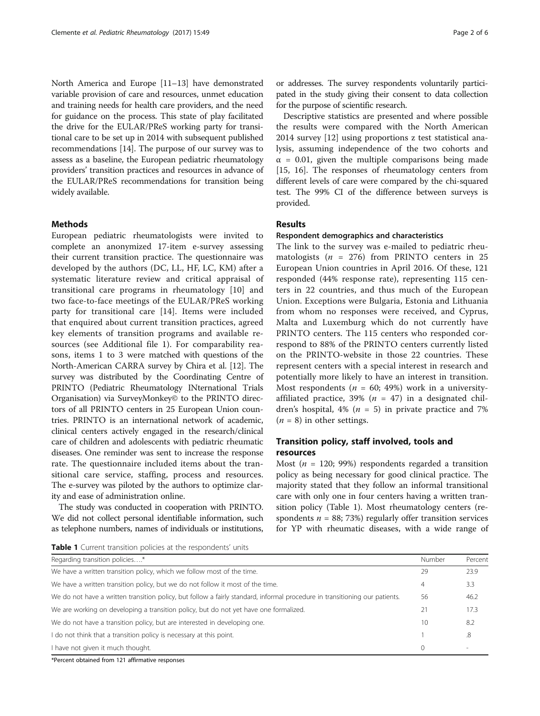North America and Europe [\[11](#page-5-0)–[13](#page-5-0)] have demonstrated variable provision of care and resources, unmet education and training needs for health care providers, and the need for guidance on the process. This state of play facilitated the drive for the EULAR/PReS working party for transitional care to be set up in 2014 with subsequent published recommendations [\[14\]](#page-5-0). The purpose of our survey was to assess as a baseline, the European pediatric rheumatology providers' transition practices and resources in advance of the EULAR/PReS recommendations for transition being widely available.

## Methods

European pediatric rheumatologists were invited to complete an anonymized 17-item e-survey assessing their current transition practice. The questionnaire was developed by the authors (DC, LL, HF, LC, KM) after a systematic literature review and critical appraisal of transitional care programs in rheumatology [[10\]](#page-5-0) and two face-to-face meetings of the EULAR/PReS working party for transitional care [[14\]](#page-5-0). Items were included that enquired about current transition practices, agreed key elements of transition programs and available resources (see Additional file [1\)](#page-4-0). For comparability reasons, items 1 to 3 were matched with questions of the North-American CARRA survey by Chira et al. [\[12](#page-5-0)]. The survey was distributed by the Coordinating Centre of PRINTO (Pediatric Rheumatology INternational Trials Organisation) via SurveyMonkey© to the PRINTO directors of all PRINTO centers in 25 European Union countries. PRINTO is an international network of academic, clinical centers actively engaged in the research/clinical care of children and adolescents with pediatric rheumatic diseases. One reminder was sent to increase the response rate. The questionnaire included items about the transitional care service, staffing, process and resources. The e-survey was piloted by the authors to optimize clarity and ease of administration online.

The study was conducted in cooperation with PRINTO. We did not collect personal identifiable information, such as telephone numbers, names of individuals or institutions,

or addresses. The survey respondents voluntarily participated in the study giving their consent to data collection for the purpose of scientific research.

Descriptive statistics are presented and where possible the results were compared with the North American 2014 survey [[12\]](#page-5-0) using proportions z test statistical analysis, assuming independence of the two cohorts and  $\alpha$  = 0.01, given the multiple comparisons being made [[15, 16\]](#page-5-0). The responses of rheumatology centers from different levels of care were compared by the chi-squared test. The 99% CI of the difference between surveys is provided.

# Results

## Respondent demographics and characteristics

The link to the survey was e-mailed to pediatric rheumatologists ( $n = 276$ ) from PRINTO centers in 25 European Union countries in April 2016. Of these, 121 responded (44% response rate), representing 115 centers in 22 countries, and thus much of the European Union. Exceptions were Bulgaria, Estonia and Lithuania from whom no responses were received, and Cyprus, Malta and Luxemburg which do not currently have PRINTO centers. The 115 centers who responded correspond to 88% of the PRINTO centers currently listed on the PRINTO-website in those 22 countries. These represent centers with a special interest in research and potentially more likely to have an interest in transition. Most respondents ( $n = 60$ ; 49%) work in a universityaffiliated practice, 39% ( $n = 47$ ) in a designated children's hospital, 4% ( $n = 5$ ) in private practice and 7%  $(n = 8)$  in other settings.

# Transition policy, staff involved, tools and resources

Most ( $n = 120$ ; 99%) respondents regarded a transition policy as being necessary for good clinical practice. The majority stated that they follow an informal transitional care with only one in four centers having a written transition policy (Table 1). Most rheumatology centers (respondents  $n = 88$ ; 73%) regularly offer transition services for YP with rheumatic diseases, with a wide range of

Table 1 Current transition policies at the respondents' units

| Regarding transition policies*                                                                                              | Number | Percent |
|-----------------------------------------------------------------------------------------------------------------------------|--------|---------|
| We have a written transition policy, which we follow most of the time.                                                      | 29     | 23.9    |
| We have a written transition policy, but we do not follow it most of the time.                                              | 4      | 3.3     |
| We do not have a written transition policy, but follow a fairly standard, informal procedure in transitioning our patients. | 56     | 46.2    |
| We are working on developing a transition policy, but do not yet have one formalized.                                       | 21     | 17.3    |
| We do not have a transition policy, but are interested in developing one.                                                   | 10     | 8.2     |
| I do not think that a transition policy is necessary at this point.                                                         |        | 8.      |
| I have not given it much thought.                                                                                           | 0      |         |

\*Percent obtained from 121 affirmative responses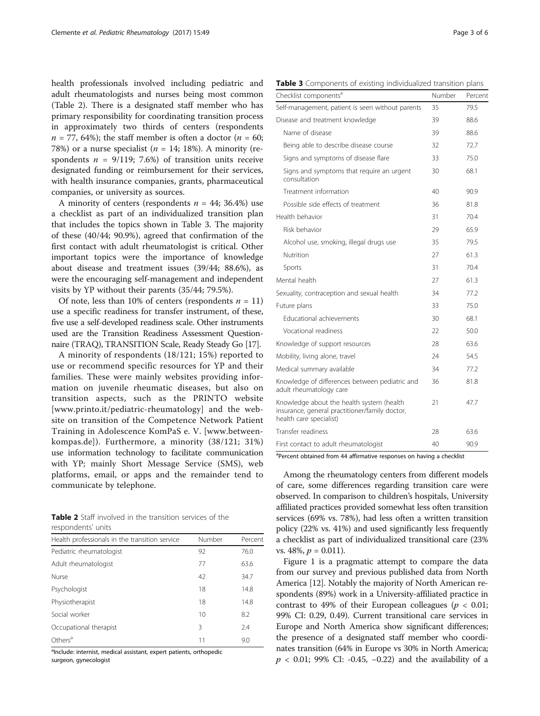health professionals involved including pediatric and adult rheumatologists and nurses being most common (Table 2). There is a designated staff member who has primary responsibility for coordinating transition process in approximately two thirds of centers (respondents  $n = 77, 64\%$ ; the staff member is often a doctor ( $n = 60$ ; 78%) or a nurse specialist ( $n = 14$ ; 18%). A minority (respondents  $n = 9/119$ ; 7.6%) of transition units receive designated funding or reimbursement for their services, with health insurance companies, grants, pharmaceutical companies, or university as sources.

A minority of centers (respondents  $n = 44$ ; 36.4%) use a checklist as part of an individualized transition plan that includes the topics shown in Table 3. The majority of these (40/44; 90.9%), agreed that confirmation of the first contact with adult rheumatologist is critical. Other important topics were the importance of knowledge about disease and treatment issues (39/44; 88.6%), as were the encouraging self-management and independent visits by YP without their parents (35/44; 79.5%).

Of note, less than 10% of centers (respondents  $n = 11$ ) use a specific readiness for transfer instrument, of these, five use a self-developed readiness scale. Other instruments used are the Transition Readiness Assessment Questionnaire (TRAQ), TRANSITION Scale, Ready Steady Go [[17](#page-5-0)].

A minority of respondents (18/121; 15%) reported to use or recommend specific resources for YP and their families. These were mainly websites providing information on juvenile rheumatic diseases, but also on transition aspects, such as the PRINTO website [[www.printo.it/pediatric-rheumatology\]](http://www.printo.it/pediatric-rheumatology) and the website on transition of the Competence Network Patient Training in Adolescence KomPaS e. V. [\[www.between](http://www.between-kompas.de)[kompas.de\]](http://www.between-kompas.de)). Furthermore, a minority (38/121; 31%) use information technology to facilitate communication with YP; mainly Short Message Service (SMS), web platforms, email, or apps and the remainder tend to communicate by telephone.

| <b>Table 2</b> Staff involved in the transition services of the |  |  |  |  |
|-----------------------------------------------------------------|--|--|--|--|
| respondents' units                                              |  |  |  |  |

| Health professionals in the transition service | Number | Percent |
|------------------------------------------------|--------|---------|
| Pediatric rheumatologist                       | 92     | 76.0    |
| Adult rheumatologist                           | 77     | 63.6    |
| Nurse                                          | 42     | 34.7    |
| Psychologist                                   | 18     | 14.8    |
| Physiotherapist                                | 18     | 14.8    |
| Social worker                                  | 10     | 8.2     |
| Occupational therapist                         | 3      | 7.4     |
| Others <sup>a</sup>                            | 11     | 9.0     |

<sup>a</sup>Include: internist, medical assistant, expert patients, orthopedic

surgeon, gynecologist

Table 3 Components of existing individualized transition plans

| Checklist components <sup>a</sup>                                                                                      | Number | Percent |
|------------------------------------------------------------------------------------------------------------------------|--------|---------|
| Self-management, patient is seen without parents                                                                       | 35     | 79.5    |
| Disease and treatment knowledge                                                                                        | 39     | 88.6    |
| Name of disease                                                                                                        | 39     | 88.6    |
| Being able to describe disease course                                                                                  | 32     | 72.7    |
| Signs and symptoms of disease flare                                                                                    | 33     | 75.0    |
| Signs and symptoms that require an urgent<br>consultation                                                              | 30     | 68.1    |
| Treatment information                                                                                                  | 40     | 90.9    |
| Possible side effects of treatment                                                                                     | 36     | 81.8    |
| Health behavior                                                                                                        | 31     | 70.4    |
| Risk behavior                                                                                                          | 29     | 65.9    |
| Alcohol use, smoking, illegal drugs use                                                                                | 35     | 79.5    |
| Nutrition                                                                                                              | 27     | 61.3    |
| Sports                                                                                                                 | 31     | 70.4    |
| Mental health                                                                                                          | 27     | 61.3    |
| Sexuality, contraception and sexual health                                                                             | 34     | 77.2    |
| Future plans                                                                                                           | 33     | 75.0    |
| Educational achievements                                                                                               | 30     | 68.1    |
| Vocational readiness                                                                                                   | 22     | 50.0    |
| Knowledge of support resources                                                                                         | 28     | 63.6    |
| Mobility, living alone, travel                                                                                         | 24     | 54.5    |
| Medical summary available                                                                                              | 34     | 77.2    |
| Knowledge of differences between pediatric and<br>adult rheumatology care                                              | 36     | 81.8    |
| Knowledge about the health system (health<br>insurance, general practitioner/family doctor,<br>health care specialist) | 21     | 47.7    |
| Transfer readiness                                                                                                     | 28     | 63.6    |
| First contact to adult rheumatologist                                                                                  | 40     | 90.9    |

<sup>a</sup>Percent obtained from 44 affirmative responses on having a checklist

Among the rheumatology centers from different models of care, some differences regarding transition care were observed. In comparison to children's hospitals, University affiliated practices provided somewhat less often transition services (69% vs. 78%), had less often a written transition policy (22% vs. 41%) and used significantly less frequently a checklist as part of individualized transitional care (23% vs. 48%,  $p = 0.011$ ).

Figure [1](#page-3-0) is a pragmatic attempt to compare the data from our survey and previous published data from North America [\[12](#page-5-0)]. Notably the majority of North American respondents (89%) work in a University-affiliated practice in contrast to 49% of their European colleagues ( $p < 0.01$ ; 99% CI: 0.29, 0.49). Current transitional care services in Europe and North America show significant differences; the presence of a designated staff member who coordinates transition (64% in Europe vs 30% in North America;  $p < 0.01$ ; 99% CI: -0.45, -0.22) and the availability of a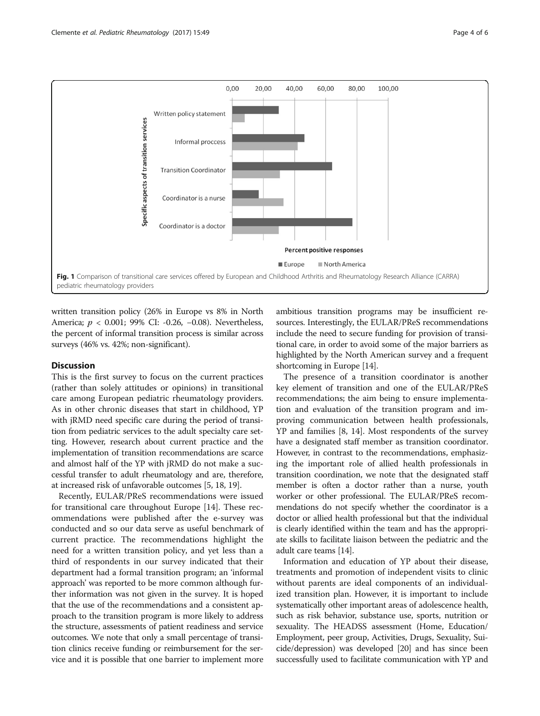<span id="page-3-0"></span>

written transition policy (26% in Europe vs 8% in North America; p < 0.001; 99% CI: -0.26, −0.08). Nevertheless, the percent of informal transition process is similar across surveys (46% vs. 42%; non-significant).

## **Discussion**

This is the first survey to focus on the current practices (rather than solely attitudes or opinions) in transitional care among European pediatric rheumatology providers. As in other chronic diseases that start in childhood, YP with jRMD need specific care during the period of transition from pediatric services to the adult specialty care setting. However, research about current practice and the implementation of transition recommendations are scarce and almost half of the YP with jRMD do not make a successful transfer to adult rheumatology and are, therefore, at increased risk of unfavorable outcomes [\[5,](#page-4-0) [18](#page-5-0), [19](#page-5-0)].

Recently, EULAR/PReS recommendations were issued for transitional care throughout Europe [[14\]](#page-5-0). These recommendations were published after the e-survey was conducted and so our data serve as useful benchmark of current practice. The recommendations highlight the need for a written transition policy, and yet less than a third of respondents in our survey indicated that their department had a formal transition program; an 'informal approach' was reported to be more common although further information was not given in the survey. It is hoped that the use of the recommendations and a consistent approach to the transition program is more likely to address the structure, assessments of patient readiness and service outcomes. We note that only a small percentage of transition clinics receive funding or reimbursement for the service and it is possible that one barrier to implement more

ambitious transition programs may be insufficient resources. Interestingly, the EULAR/PReS recommendations include the need to secure funding for provision of transitional care, in order to avoid some of the major barriers as highlighted by the North American survey and a frequent shortcoming in Europe [\[14](#page-5-0)].

The presence of a transition coordinator is another key element of transition and one of the EULAR/PReS recommendations; the aim being to ensure implementation and evaluation of the transition program and improving communication between health professionals, YP and families [[8,](#page-4-0) [14](#page-5-0)]. Most respondents of the survey have a designated staff member as transition coordinator. However, in contrast to the recommendations, emphasizing the important role of allied health professionals in transition coordination, we note that the designated staff member is often a doctor rather than a nurse, youth worker or other professional. The EULAR/PReS recommendations do not specify whether the coordinator is a doctor or allied health professional but that the individual is clearly identified within the team and has the appropriate skills to facilitate liaison between the pediatric and the adult care teams [[14](#page-5-0)].

Information and education of YP about their disease, treatments and promotion of independent visits to clinic without parents are ideal components of an individualized transition plan. However, it is important to include systematically other important areas of adolescence health, such as risk behavior, substance use, sports, nutrition or sexuality. The HEADSS assessment (Home, Education/ Employment, peer group, Activities, Drugs, Sexuality, Suicide/depression) was developed [\[20\]](#page-5-0) and has since been successfully used to facilitate communication with YP and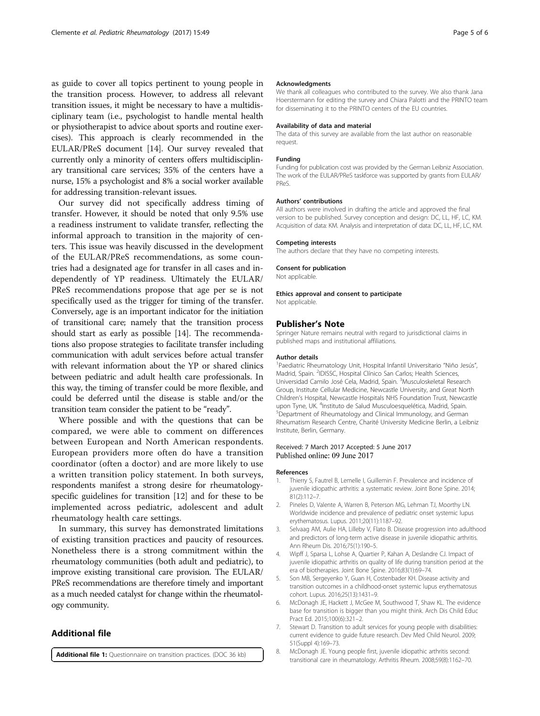<span id="page-4-0"></span>as guide to cover all topics pertinent to young people in the transition process. However, to address all relevant transition issues, it might be necessary to have a multidisciplinary team (i.e., psychologist to handle mental health or physiotherapist to advice about sports and routine exercises). This approach is clearly recommended in the EULAR/PReS document [\[14\]](#page-5-0). Our survey revealed that currently only a minority of centers offers multidisciplinary transitional care services; 35% of the centers have a nurse, 15% a psychologist and 8% a social worker available for addressing transition-relevant issues.

Our survey did not specifically address timing of transfer. However, it should be noted that only 9.5% use a readiness instrument to validate transfer, reflecting the informal approach to transition in the majority of centers. This issue was heavily discussed in the development of the EULAR/PReS recommendations, as some countries had a designated age for transfer in all cases and independently of YP readiness. Ultimately the EULAR/ PReS recommendations propose that age per se is not specifically used as the trigger for timing of the transfer. Conversely, age is an important indicator for the initiation of transitional care; namely that the transition process should start as early as possible [[14](#page-5-0)]. The recommendations also propose strategies to facilitate transfer including communication with adult services before actual transfer with relevant information about the YP or shared clinics between pediatric and adult health care professionals. In this way, the timing of transfer could be more flexible, and could be deferred until the disease is stable and/or the transition team consider the patient to be "ready".

Where possible and with the questions that can be compared, we were able to comment on differences between European and North American respondents. European providers more often do have a transition coordinator (often a doctor) and are more likely to use a written transition policy statement. In both surveys, respondents manifest a strong desire for rheumatologyspecific guidelines for transition [\[12\]](#page-5-0) and for these to be implemented across pediatric, adolescent and adult rheumatology health care settings.

In summary, this survey has demonstrated limitations of existing transition practices and paucity of resources. Nonetheless there is a strong commitment within the rheumatology communities (both adult and pediatric), to improve existing transitional care provision. The EULAR/ PReS recommendations are therefore timely and important as a much needed catalyst for change within the rheumatology community.

# Additional file

[Additional file 1:](dx.doi.org/10.1186/s12969-017-0179-8) Questionnaire on transition practices. (DOC 36 kb)

#### Acknowledgments

We thank all colleagues who contributed to the survey. We also thank Jana Hoerstermann for editing the survey and Chiara Palotti and the PRINTO team for disseminating it to the PRINTO centers of the EU countries.

#### Availability of data and material

The data of this survey are available from the last author on reasonable request.

## Funding

Funding for publication cost was provided by the German Leibniz Association. The work of the EULAR/PReS taskforce was supported by grants from EULAR/ PReS.

## Authors' contributions

All authors were involved in drafting the article and approved the final version to be published. Survey conception and design: DC, LL, HF, LC, KM. Acquisition of data: KM. Analysis and interpretation of data: DC, LL, HF, LC, KM.

### Competing interests

The authors declare that they have no competing interests.

### Consent for publication

Not applicable.

#### Ethics approval and consent to participate

Not applicable.

## Publisher's Note

Springer Nature remains neutral with regard to jurisdictional claims in published maps and institutional affiliations.

#### Author details

1 Paediatric Rheumatology Unit, Hospital Infantil Universitario "Niño Jesús", Madrid, Spain. <sup>2</sup>IDISSC, Hospital Clínico San Carlos; Health Sciences, Universidad Camilo José Cela, Madrid, Spain. <sup>3</sup>Musculoskeletal Research Group, Institute Cellular Medicine, Newcastle University, and Great North Children's Hospital, Newcastle Hospitals NHS Foundation Trust, Newcastle upon Tyne, UK. <sup>4</sup>Instituto de Salud Musculoesquelética, Madrid, Spain.<br><sup>5</sup>Department of Phoumateleau and Clinical Immunology, and German <sup>5</sup>Department of Rheumatology and Clinical Immunology, and German Rheumatism Research Centre, Charité University Medicine Berlin, a Leibniz Institute, Berlin, Germany.

## Received: 7 March 2017 Accepted: 5 June 2017 Published online: 09 June 2017

#### References

- 1. Thierry S, Fautrel B, Lemelle I, Guillemin F. Prevalence and incidence of juvenile idiopathic arthritis: a systematic review. Joint Bone Spine. 2014; 81(2):112–7.
- 2. Pineles D, Valente A, Warren B, Peterson MG, Lehman TJ, Moorthy LN. Worldwide incidence and prevalence of pediatric onset systemic lupus erythematosus. Lupus. 2011;20(11):1187–92.
- 3. Selvaag AM, Aulie HA, Lilleby V, Flato B. Disease progression into adulthood and predictors of long-term active disease in juvenile idiopathic arthritis. Ann Rheum Dis. 2016;75(1):190–5.
- 4. Wipff J, Sparsa L, Lohse A, Quartier P, Kahan A, Deslandre CJ. Impact of juvenile idiopathic arthritis on quality of life during transition period at the era of biotherapies. Joint Bone Spine. 2016;83(1):69–74.
- 5. Son MB, Sergeyenko Y, Guan H, Costenbader KH. Disease activity and transition outcomes in a childhood-onset systemic lupus erythematosus cohort. Lupus. 2016;25(13):1431–9.
- 6. McDonagh JE, Hackett J, McGee M, Southwood T, Shaw KL. The evidence base for transition is bigger than you might think. Arch Dis Child Educ Pract Ed. 2015;100(6):321–2.
- 7. Stewart D. Transition to adult services for young people with disabilities: current evidence to guide future research. Dev Med Child Neurol. 2009; 51(Suppl 4):169–73.
- 8. McDonagh JE. Young people first, juvenile idiopathic arthritis second: transitional care in rheumatology. Arthritis Rheum. 2008;59(8):1162–70.